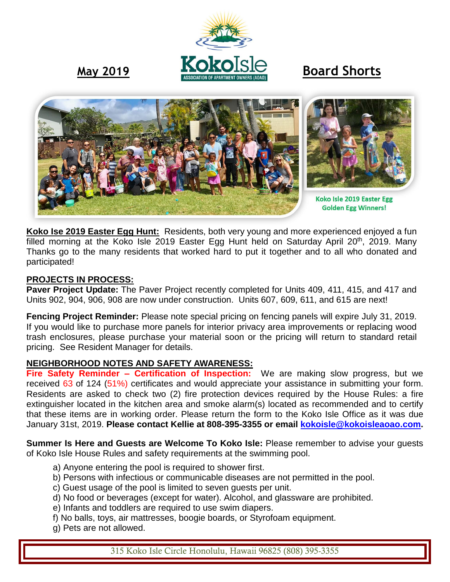# May 2019 **<u><b>BOROISIC**</u> Board Shorts



**Koko Ise 2019 Easter Egg Hunt:** Residents, both very young and more experienced enjoyed a fun filled morning at the Koko Isle 2019 Easter Egg Hunt held on Saturday April 20<sup>th</sup>, 2019. Many Thanks go to the many residents that worked hard to put it together and to all who donated and participated!

### **PROJECTS IN PROCESS:**

**Paver Project Update:** The Paver Project recently completed for Units 409, 411, 415, and 417 and Units 902, 904, 906, 908 are now under construction. Units 607, 609, 611, and 615 are next!

**Fencing Project Reminder:** Please note special pricing on fencing panels will expire July 31, 2019. If you would like to purchase more panels for interior privacy area improvements or replacing wood trash enclosures, please purchase your material soon or the pricing will return to standard retail pricing. See Resident Manager for details.

#### **NEIGHBORHOOD NOTES AND SAFETY AWARENESS:**

**Fire Safety Reminder – Certification of Inspection:** We are making slow progress, but we received 63 of 124 (51%) certificates and would appreciate your assistance in submitting your form. Residents are asked to check two (2) fire protection devices required by the House Rules: a fire extinguisher located in the kitchen area and smoke alarm(s) located as recommended and to certify that these items are in working order. Please return the form to the Koko Isle Office as it was due January 31st, 2019. **Please contact Kellie at 808-395-3355 or email [kokoisle@kokoisleaoao.com.](mailto:kokoisle@kokoisleaoao.com)**

**Summer Is Here and Guests are Welcome To Koko Isle:** Please remember to advise your guests of Koko Isle House Rules and safety requirements at the swimming pool.

- a) Anyone entering the pool is required to shower first.
- b) Persons with infectious or communicable diseases are not permitted in the pool.
- c) Guest usage of the pool is limited to seven guests per unit.
- d) No food or beverages (except for water). Alcohol, and glassware are prohibited.
- e) Infants and toddlers are required to use swim diapers.
- f) No balls, toys, air mattresses, boogie boards, or Styrofoam equipment.
- g) Pets are not allowed.

315 Koko Isle Circle Honolulu, Hawaii 96825 (808) 395-3355